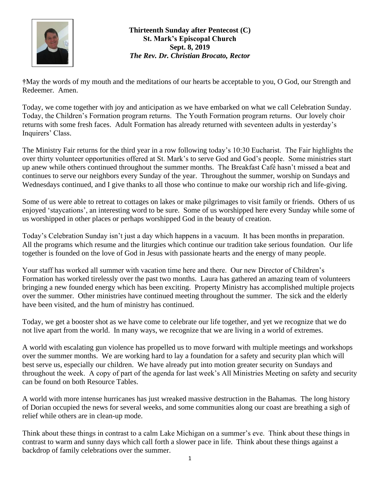

**Thirteenth Sunday after Pentecost (C) St. Mark's Episcopal Church Sept. 8, 2019** *The Rev. Dr. Christian Brocato, Rector*

**†**May the words of my mouth and the meditations of our hearts be acceptable to you, O God, our Strength and Redeemer. Amen.

Today, we come together with joy and anticipation as we have embarked on what we call Celebration Sunday. Today, the Children's Formation program returns. The Youth Formation program returns. Our lovely choir returns with some fresh faces. Adult Formation has already returned with seventeen adults in yesterday's Inquirers' Class.

The Ministry Fair returns for the third year in a row following today's 10:30 Eucharist. The Fair highlights the over thirty volunteer opportunities offered at St. Mark's to serve God and God's people. Some ministries start up anew while others continued throughout the summer months. The Breakfast Café hasn't missed a beat and continues to serve our neighbors every Sunday of the year. Throughout the summer, worship on Sundays and Wednesdays continued, and I give thanks to all those who continue to make our worship rich and life-giving.

Some of us were able to retreat to cottages on lakes or make pilgrimages to visit family or friends. Others of us enjoyed 'staycations', an interesting word to be sure. Some of us worshipped here every Sunday while some of us worshipped in other places or perhaps worshipped God in the beauty of creation.

Today's Celebration Sunday isn't just a day which happens in a vacuum. It has been months in preparation. All the programs which resume and the liturgies which continue our tradition take serious foundation. Our life together is founded on the love of God in Jesus with passionate hearts and the energy of many people.

Your staff has worked all summer with vacation time here and there. Our new Director of Children's Formation has worked tirelessly over the past two months. Laura has gathered an amazing team of volunteers bringing a new founded energy which has been exciting. Property Ministry has accomplished multiple projects over the summer. Other ministries have continued meeting throughout the summer. The sick and the elderly have been visited, and the hum of ministry has continued.

Today, we get a booster shot as we have come to celebrate our life together, and yet we recognize that we do not live apart from the world. In many ways, we recognize that we are living in a world of extremes.

A world with escalating gun violence has propelled us to move forward with multiple meetings and workshops over the summer months. We are working hard to lay a foundation for a safety and security plan which will best serve us, especially our children. We have already put into motion greater security on Sundays and throughout the week. A copy of part of the agenda for last week's All Ministries Meeting on safety and security can be found on both Resource Tables.

A world with more intense hurricanes has just wreaked massive destruction in the Bahamas. The long history of Dorian occupied the news for several weeks, and some communities along our coast are breathing a sigh of relief while others are in clean-up mode.

Think about these things in contrast to a calm Lake Michigan on a summer's eve. Think about these things in contrast to warm and sunny days which call forth a slower pace in life. Think about these things against a backdrop of family celebrations over the summer.